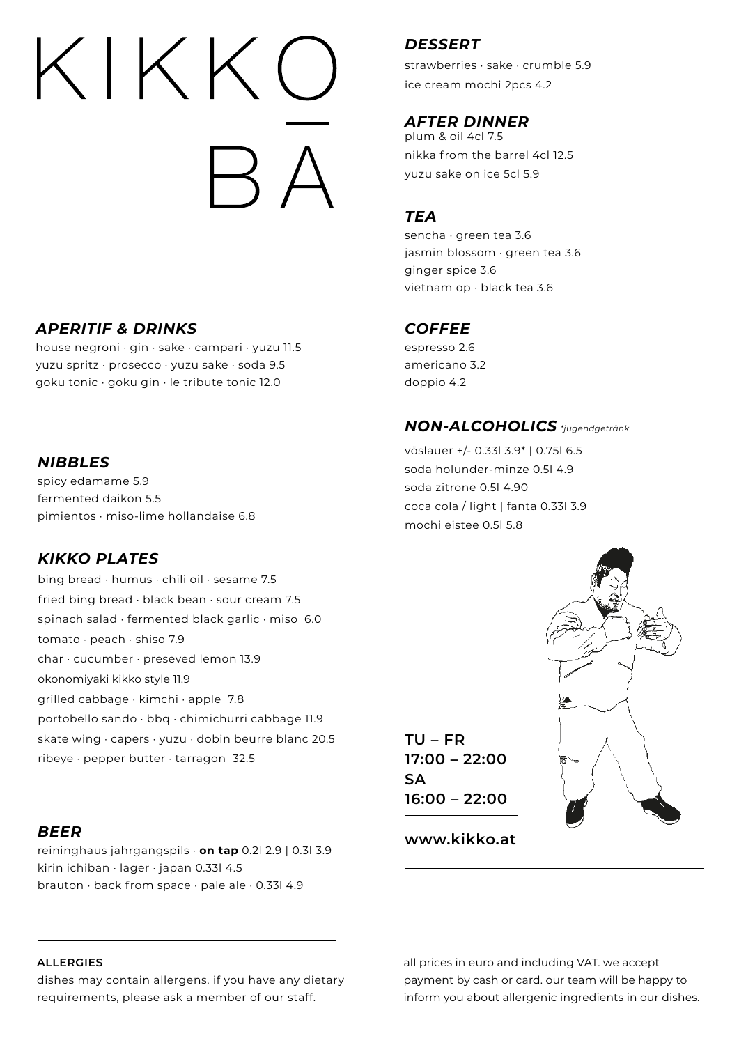# KIKKC

## *APERITIF & DRINKS*

house negroni · gin · sake · campari · yuzu 11.5 yuzu spritz · prosecco · yuzu sake · soda 9.5 goku tonic · goku gin · le tribute tonic 12.0

## *NIBBLES*

spicy edamame 5.9 fermented daikon 5.5 pimientos · miso-lime hollandaise 6.8

## *KIKKO PLATES*

bing bread · humus · chili oil · sesame 7.5 fried bing bread · black bean · sour cream 7.5 spinach salad · fermented black garlic · miso 6.0 tomato · peach · shiso 7.9 char · cucumber · preseved lemon 13.9 okonomiyaki kikko style 11.9 grilled cabbage · kimchi · apple 7.8 portobello sando · bbq · chimichurri cabbage 11.9 skate wing · capers · yuzu · dobin beurre blanc 20.5 ribeye · pepper butter · tarragon 32.5

## *BEER*

reininghaus jahrgangspils · **on tap** 0.2l 2.9 | 0.3l 3.9 kirin ichiban · lager · japan 0.33l 4.5 brauton · back from space · pale ale · 0.33l 4.9

#### **ALLERGIES**

dishes may contain allergens. if you have any dietary requirements, please ask a member of our staff.

# *DESSERT*

strawberries · sake · crumble 5.9 ice cream mochi 2pcs 4.2

# *AFTER DINNER*

plum & oil 4cl 7.5 nikka from the barrel 4cl 12.5 yuzu sake on ice 5cl 5.9

# *TEA*

sencha · green tea 3.6 jasmin blossom · green tea 3.6 ginger spice 3.6 vietnam op · black tea 3.6

# *COFFEE*

espresso 2.6 americano 3.2 doppio 4.2

# *NON-ALCOHOLICS \*jugendgetränk*

vöslauer +/- 0.33l 3.9\* | 0.75l 6.5 soda holunder-minze 0.5l 4.9 soda zitrone 0.5l 4.90 coca cola / light | fanta 0.33l 3.9 mochi eistee 0.5l 5.8

**TU – FR 17:00 – 22:00 SA 16:00 – 22:00**



**www.[kikko.at](http://kikko.at)**

all prices in euro and including VAT. we accept payment by cash or card. our team will be happy to inform you about allergenic ingredients in our dishes.